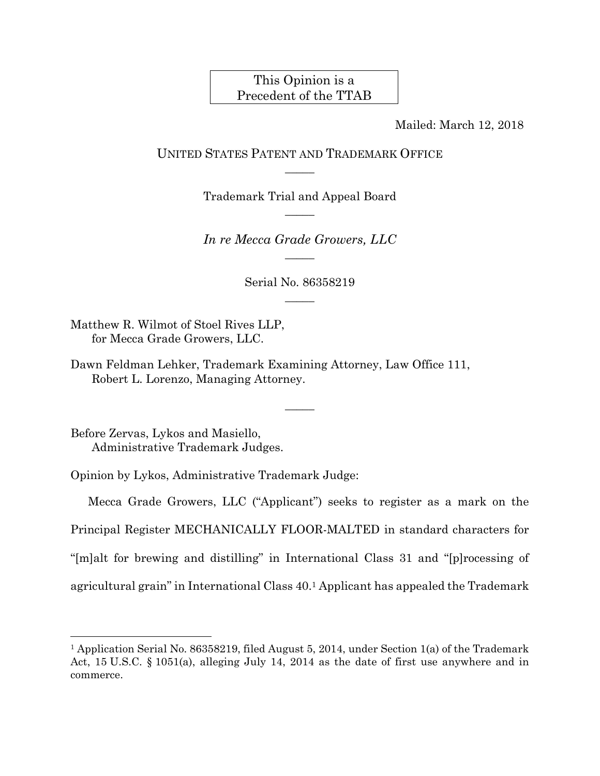# This Opinion is a Precedent of the TTAB

Mailed: March 12, 2018

### UNITED STATES PATENT AND TRADEMARK OFFICE  $\overline{\phantom{a}}$

Trademark Trial and Appeal Board  $\overline{\phantom{a}}$ 

*In re Mecca Grade Growers, LLC*   $\overline{\phantom{a}}$ 

> Serial No. 86358219  $\overline{\phantom{a}}$

> > $\overline{\phantom{a}}$

Matthew R. Wilmot of Stoel Rives LLP, for Mecca Grade Growers, LLC.

Dawn Feldman Lehker, Trademark Examining Attorney, Law Office 111, Robert L. Lorenzo, Managing Attorney.

Before Zervas, Lykos and Masiello, Administrative Trademark Judges.

 $\overline{a}$ 

Opinion by Lykos, Administrative Trademark Judge:

Mecca Grade Growers, LLC ("Applicant") seeks to register as a mark on the Principal Register MECHANICALLY FLOOR-MALTED in standard characters for "[m]alt for brewing and distilling" in International Class 31 and "[p]rocessing of agricultural grain" in International Class 40.1 Applicant has appealed the Trademark

<sup>1</sup> Application Serial No. 86358219, filed August 5, 2014, under Section 1(a) of the Trademark Act, 15 U.S.C. § 1051(a), alleging July 14, 2014 as the date of first use anywhere and in commerce.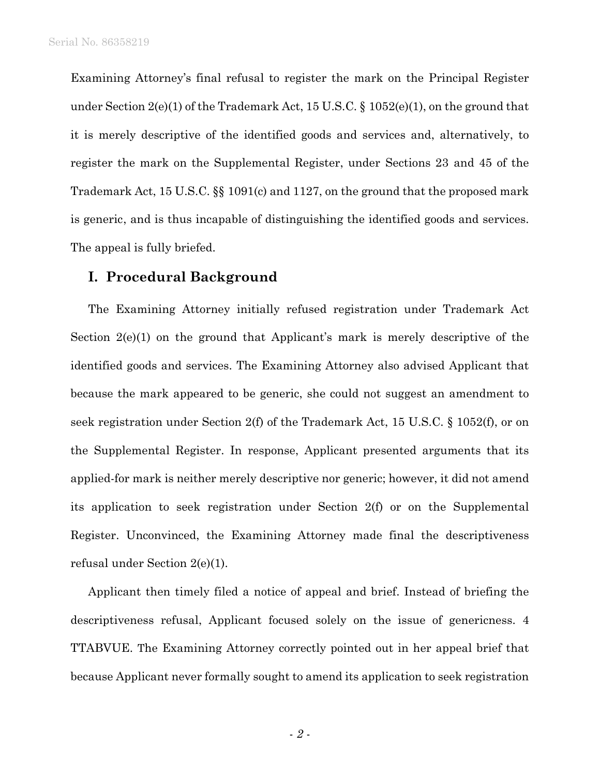Examining Attorney's final refusal to register the mark on the Principal Register under Section 2(e)(1) of the Trademark Act, 15 U.S.C. § 1052(e)(1), on the ground that it is merely descriptive of the identified goods and services and, alternatively, to register the mark on the Supplemental Register, under Sections 23 and 45 of the Trademark Act, 15 U.S.C. §§ 1091(c) and 1127, on the ground that the proposed mark is generic, and is thus incapable of distinguishing the identified goods and services. The appeal is fully briefed.

### **I. Procedural Background**

The Examining Attorney initially refused registration under Trademark Act Section  $2(e)(1)$  on the ground that Applicant's mark is merely descriptive of the identified goods and services. The Examining Attorney also advised Applicant that because the mark appeared to be generic, she could not suggest an amendment to seek registration under Section 2(f) of the Trademark Act, 15 U.S.C. § 1052(f), or on the Supplemental Register. In response, Applicant presented arguments that its applied-for mark is neither merely descriptive nor generic; however, it did not amend its application to seek registration under Section 2(f) or on the Supplemental Register. Unconvinced, the Examining Attorney made final the descriptiveness refusal under Section 2(e)(1).

Applicant then timely filed a notice of appeal and brief. Instead of briefing the descriptiveness refusal, Applicant focused solely on the issue of genericness. 4 TTABVUE. The Examining Attorney correctly pointed out in her appeal brief that because Applicant never formally sought to amend its application to seek registration

- *2* -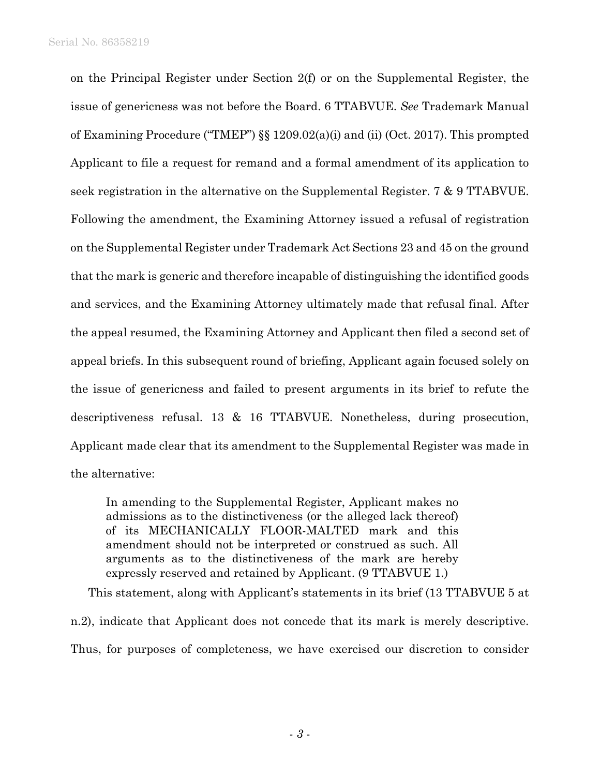on the Principal Register under Section 2(f) or on the Supplemental Register, the issue of genericness was not before the Board. 6 TTABVUE. *See* Trademark Manual of Examining Procedure ("TMEP") §§ 1209.02(a)(i) and (ii) (Oct. 2017). This prompted Applicant to file a request for remand and a formal amendment of its application to seek registration in the alternative on the Supplemental Register. 7 & 9 TTABVUE. Following the amendment, the Examining Attorney issued a refusal of registration on the Supplemental Register under Trademark Act Sections 23 and 45 on the ground that the mark is generic and therefore incapable of distinguishing the identified goods and services, and the Examining Attorney ultimately made that refusal final. After the appeal resumed, the Examining Attorney and Applicant then filed a second set of appeal briefs. In this subsequent round of briefing, Applicant again focused solely on the issue of genericness and failed to present arguments in its brief to refute the descriptiveness refusal. 13 & 16 TTABVUE. Nonetheless, during prosecution, Applicant made clear that its amendment to the Supplemental Register was made in the alternative:

In amending to the Supplemental Register, Applicant makes no admissions as to the distinctiveness (or the alleged lack thereof) of its MECHANICALLY FLOOR-MALTED mark and this amendment should not be interpreted or construed as such. All arguments as to the distinctiveness of the mark are hereby expressly reserved and retained by Applicant. (9 TTABVUE 1.)

This statement, along with Applicant's statements in its brief (13 TTABVUE 5 at

n.2), indicate that Applicant does not concede that its mark is merely descriptive. Thus, for purposes of completeness, we have exercised our discretion to consider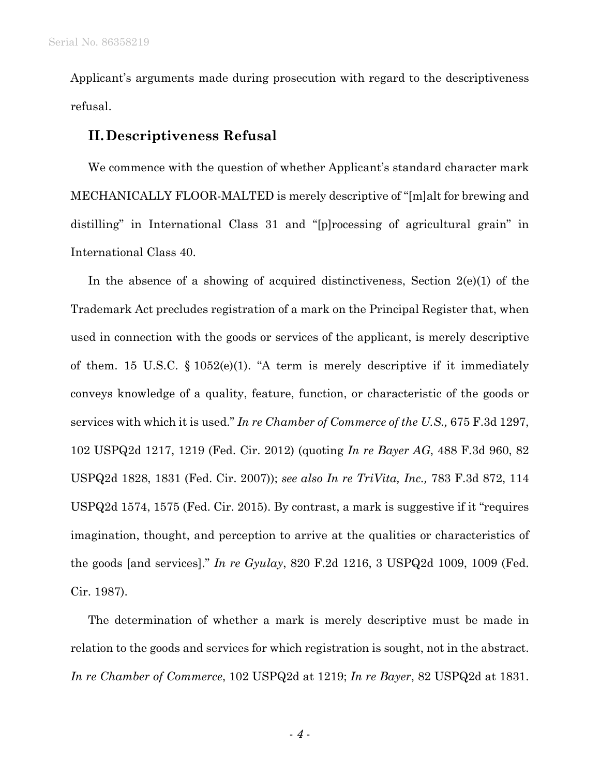Applicant's arguments made during prosecution with regard to the descriptiveness refusal.

# **II.Descriptiveness Refusal**

We commence with the question of whether Applicant's standard character mark MECHANICALLY FLOOR-MALTED is merely descriptive of "[m]alt for brewing and distilling" in International Class 31 and "[p]rocessing of agricultural grain" in International Class 40.

In the absence of a showing of acquired distinctiveness, Section  $2(e)(1)$  of the Trademark Act precludes registration of a mark on the Principal Register that, when used in connection with the goods or services of the applicant, is merely descriptive of them. 15 U.S.C.  $\S 1052(e)(1)$ . "A term is merely descriptive if it immediately conveys knowledge of a quality, feature, function, or characteristic of the goods or services with which it is used." *In re Chamber of Commerce of the U.S.,* 675 F.3d 1297, 102 USPQ2d 1217, 1219 (Fed. Cir. 2012) (quoting *In re Bayer AG*, 488 F.3d 960, 82 USPQ2d 1828, 1831 (Fed. Cir. 2007)); *see also In re TriVita, Inc.,* 783 F.3d 872, 114 USPQ2d 1574, 1575 (Fed. Cir. 2015). By contrast, a mark is suggestive if it "requires imagination, thought, and perception to arrive at the qualities or characteristics of the goods [and services]." *In re Gyulay*, 820 F.2d 1216, 3 USPQ2d 1009, 1009 (Fed. Cir. 1987).

The determination of whether a mark is merely descriptive must be made in relation to the goods and services for which registration is sought, not in the abstract. *In re Chamber of Commerce*, 102 USPQ2d at 1219; *In re Bayer*, 82 USPQ2d at 1831.

- *4* -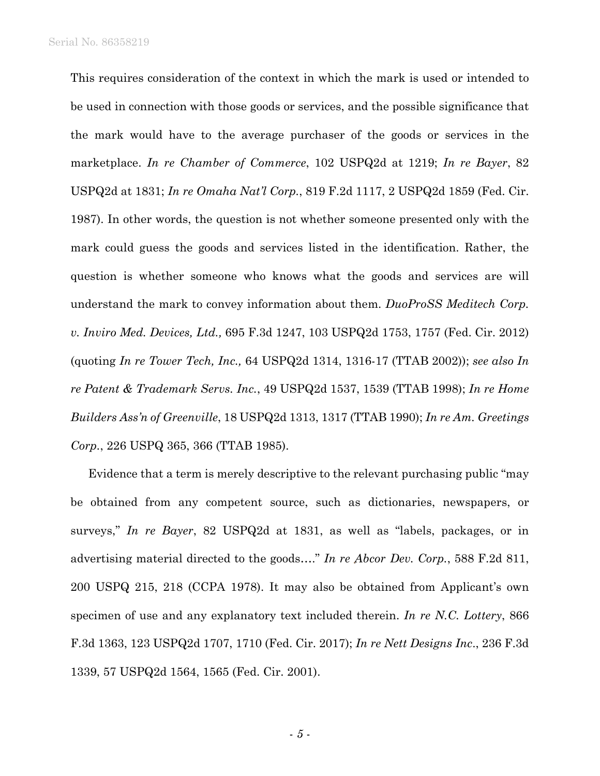Serial No. 86358219

This requires consideration of the context in which the mark is used or intended to be used in connection with those goods or services, and the possible significance that the mark would have to the average purchaser of the goods or services in the marketplace. *In re Chamber of Commerce*, 102 USPQ2d at 1219; *In re Bayer*, 82 USPQ2d at 1831; *In re Omaha Nat'l Corp.*, 819 F.2d 1117, 2 USPQ2d 1859 (Fed. Cir. 1987). In other words, the question is not whether someone presented only with the mark could guess the goods and services listed in the identification. Rather, the question is whether someone who knows what the goods and services are will understand the mark to convey information about them. *DuoProSS Meditech Corp. v. Inviro Med. Devices, Ltd.,* 695 F.3d 1247, 103 USPQ2d 1753, 1757 (Fed. Cir. 2012) (quoting *In re Tower Tech, Inc.,* 64 USPQ2d 1314, 1316-17 (TTAB 2002)); *see also In re Patent & Trademark Servs. Inc.*, 49 USPQ2d 1537, 1539 (TTAB 1998); *In re Home Builders Ass'n of Greenville*, 18 USPQ2d 1313, 1317 (TTAB 1990); *In re Am. Greetings Corp.*, 226 USPQ 365, 366 (TTAB 1985).

Evidence that a term is merely descriptive to the relevant purchasing public "may be obtained from any competent source, such as dictionaries, newspapers, or surveys," *In re Bayer*, 82 USPQ2d at 1831, as well as "labels, packages, or in advertising material directed to the goods…." *In re Abcor Dev. Corp.*, 588 F.2d 811, 200 USPQ 215, 218 (CCPA 1978). It may also be obtained from Applicant's own specimen of use and any explanatory text included therein. *In re N.C. Lottery*, 866 F.3d 1363, 123 USPQ2d 1707, 1710 (Fed. Cir. 2017); *In re Nett Designs Inc*., 236 F.3d 1339, 57 USPQ2d 1564, 1565 (Fed. Cir. 2001).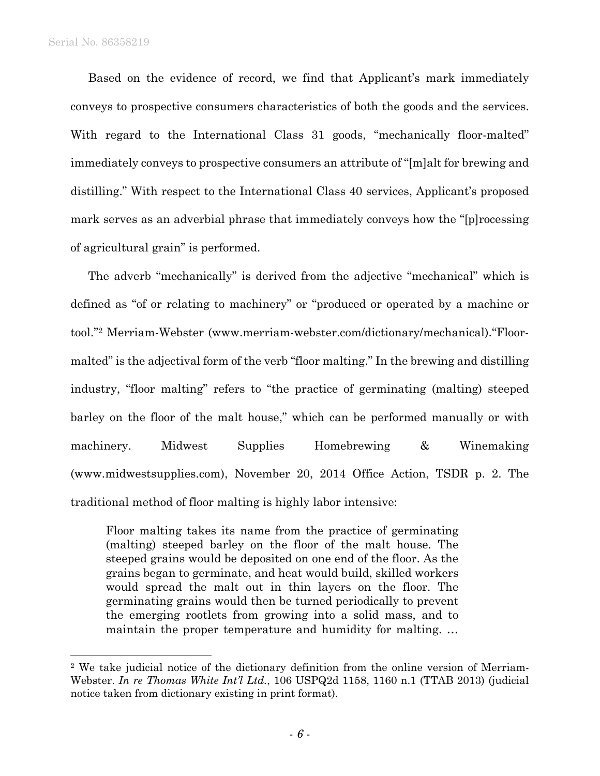l

Based on the evidence of record, we find that Applicant's mark immediately conveys to prospective consumers characteristics of both the goods and the services. With regard to the International Class 31 goods, "mechanically floor-malted" immediately conveys to prospective consumers an attribute of "[m]alt for brewing and distilling." With respect to the International Class 40 services, Applicant's proposed mark serves as an adverbial phrase that immediately conveys how the "[p]rocessing of agricultural grain" is performed.

The adverb "mechanically" is derived from the adjective "mechanical" which is defined as "of or relating to machinery" or "produced or operated by a machine or tool."2 Merriam-Webster (www.merriam-webster.com/dictionary/mechanical)."Floormalted" is the adjectival form of the verb "floor malting." In the brewing and distilling industry, "floor malting" refers to "the practice of germinating (malting) steeped barley on the floor of the malt house," which can be performed manually or with machinery. Midwest Supplies Homebrewing & Winemaking (www.midwestsupplies.com), November 20, 2014 Office Action, TSDR p. 2. The traditional method of floor malting is highly labor intensive:

Floor malting takes its name from the practice of germinating (malting) steeped barley on the floor of the malt house. The steeped grains would be deposited on one end of the floor. As the grains began to germinate, and heat would build, skilled workers would spread the malt out in thin layers on the floor. The germinating grains would then be turned periodically to prevent the emerging rootlets from growing into a solid mass, and to maintain the proper temperature and humidity for malting. …

<sup>2</sup> We take judicial notice of the dictionary definition from the online version of Merriam-Webster. *In re Thomas White Int'l Ltd.*, 106 USPQ2d 1158, 1160 n.1 (TTAB 2013) (judicial notice taken from dictionary existing in print format).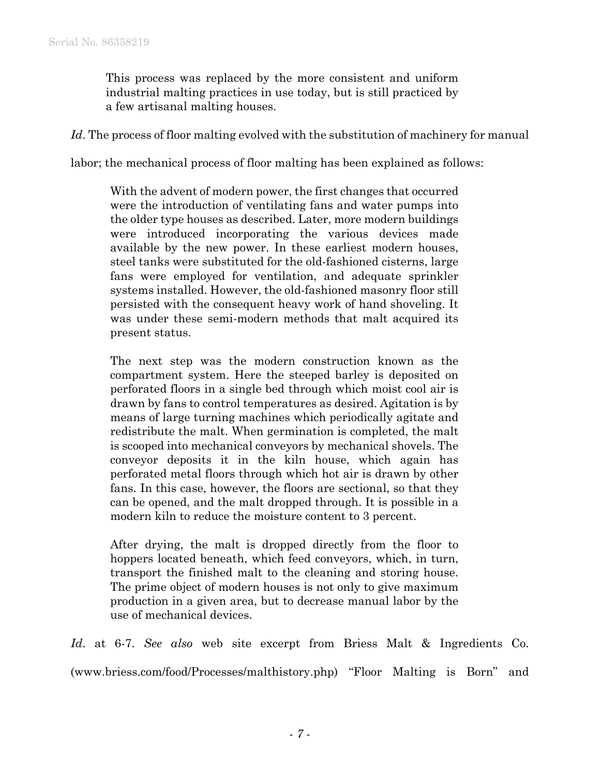This process was replaced by the more consistent and uniform industrial malting practices in use today, but is still practiced by a few artisanal malting houses.

Id. The process of floor malting evolved with the substitution of machinery for manual

labor; the mechanical process of floor malting has been explained as follows:

With the advent of modern power, the first changes that occurred were the introduction of ventilating fans and water pumps into the older type houses as described. Later, more modern buildings were introduced incorporating the various devices made available by the new power. In these earliest modern houses, steel tanks were substituted for the old-fashioned cisterns, large fans were employed for ventilation, and adequate sprinkler systems installed. However, the old-fashioned masonry floor still persisted with the consequent heavy work of hand shoveling. It was under these semi-modern methods that malt acquired its present status.

The next step was the modern construction known as the compartment system. Here the steeped barley is deposited on perforated floors in a single bed through which moist cool air is drawn by fans to control temperatures as desired. Agitation is by means of large turning machines which periodically agitate and redistribute the malt. When germination is completed, the malt is scooped into mechanical conveyors by mechanical shovels. The conveyor deposits it in the kiln house, which again has perforated metal floors through which hot air is drawn by other fans. In this case, however, the floors are sectional, so that they can be opened, and the malt dropped through. It is possible in a modern kiln to reduce the moisture content to 3 percent.

After drying, the malt is dropped directly from the floor to hoppers located beneath, which feed conveyors, which, in turn, transport the finished malt to the cleaning and storing house. The prime object of modern houses is not only to give maximum production in a given area, but to decrease manual labor by the use of mechanical devices.

*Id*. at 6-7. *See also* web site excerpt from Briess Malt & Ingredients Co. (www.briess.com/food/Processes/malthistory.php) "Floor Malting is Born" and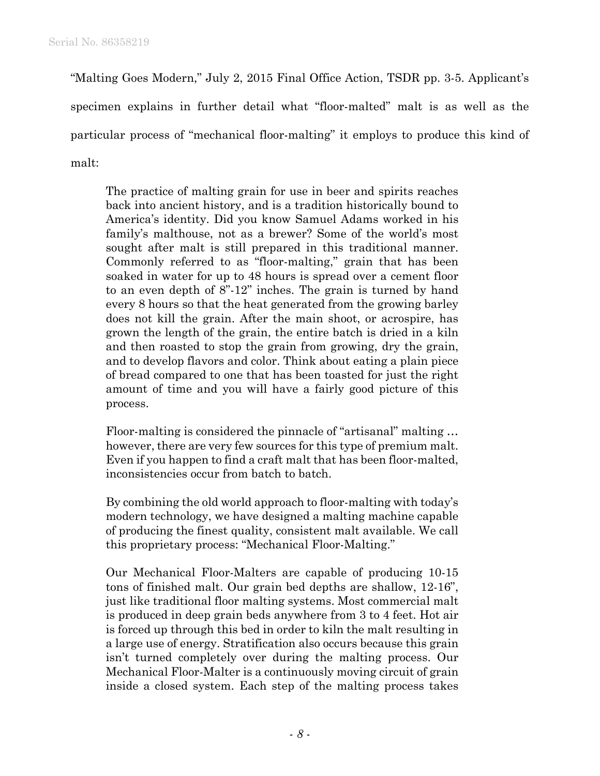"Malting Goes Modern," July 2, 2015 Final Office Action, TSDR pp. 3-5. Applicant's specimen explains in further detail what "floor-malted" malt is as well as the particular process of "mechanical floor-malting" it employs to produce this kind of malt:

The practice of malting grain for use in beer and spirits reaches back into ancient history, and is a tradition historically bound to America's identity. Did you know Samuel Adams worked in his family's malthouse, not as a brewer? Some of the world's most sought after malt is still prepared in this traditional manner. Commonly referred to as "floor-malting," grain that has been soaked in water for up to 48 hours is spread over a cement floor to an even depth of 8"-12" inches. The grain is turned by hand every 8 hours so that the heat generated from the growing barley does not kill the grain. After the main shoot, or acrospire, has grown the length of the grain, the entire batch is dried in a kiln and then roasted to stop the grain from growing, dry the grain, and to develop flavors and color. Think about eating a plain piece of bread compared to one that has been toasted for just the right amount of time and you will have a fairly good picture of this process.

Floor-malting is considered the pinnacle of "artisanal" malting … however, there are very few sources for this type of premium malt. Even if you happen to find a craft malt that has been floor-malted, inconsistencies occur from batch to batch.

By combining the old world approach to floor-malting with today's modern technology, we have designed a malting machine capable of producing the finest quality, consistent malt available. We call this proprietary process: "Mechanical Floor-Malting."

Our Mechanical Floor-Malters are capable of producing 10-15 tons of finished malt. Our grain bed depths are shallow, 12-16", just like traditional floor malting systems. Most commercial malt is produced in deep grain beds anywhere from 3 to 4 feet. Hot air is forced up through this bed in order to kiln the malt resulting in a large use of energy. Stratification also occurs because this grain isn't turned completely over during the malting process. Our Mechanical Floor-Malter is a continuously moving circuit of grain inside a closed system. Each step of the malting process takes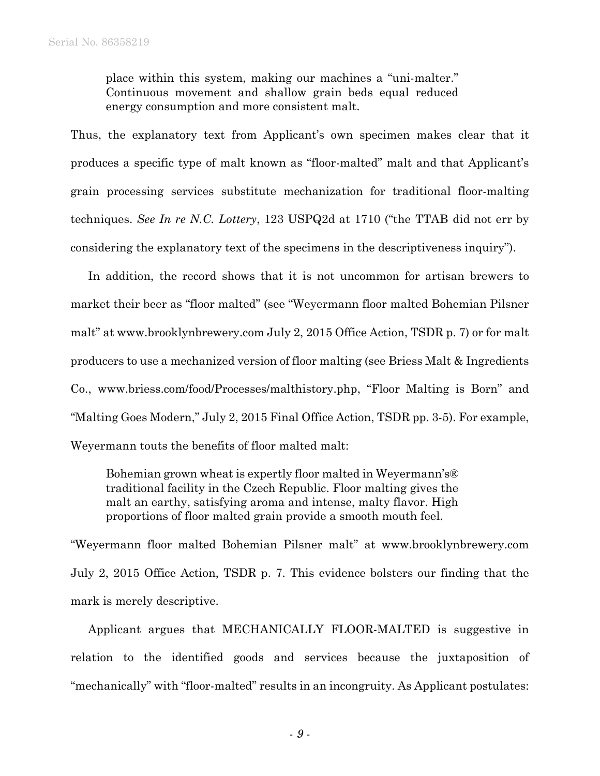place within this system, making our machines a "uni-malter." Continuous movement and shallow grain beds equal reduced energy consumption and more consistent malt.

Thus, the explanatory text from Applicant's own specimen makes clear that it produces a specific type of malt known as "floor-malted" malt and that Applicant's grain processing services substitute mechanization for traditional floor-malting techniques. *See In re N.C. Lottery*, 123 USPQ2d at 1710 ("the TTAB did not err by considering the explanatory text of the specimens in the descriptiveness inquiry").

In addition, the record shows that it is not uncommon for artisan brewers to market their beer as "floor malted" (see "Weyermann floor malted Bohemian Pilsner malt" at www.brooklynbrewery.com July 2, 2015 Office Action, TSDR p. 7) or for malt producers to use a mechanized version of floor malting (see Briess Malt & Ingredients Co., www.briess.com/food/Processes/malthistory.php, "Floor Malting is Born" and "Malting Goes Modern," July 2, 2015 Final Office Action, TSDR pp. 3-5). For example, Weyermann touts the benefits of floor malted malt:

Bohemian grown wheat is expertly floor malted in Weyermann's® traditional facility in the Czech Republic. Floor malting gives the malt an earthy, satisfying aroma and intense, malty flavor. High proportions of floor malted grain provide a smooth mouth feel.

"Weyermann floor malted Bohemian Pilsner malt" at www.brooklynbrewery.com July 2, 2015 Office Action, TSDR p. 7. This evidence bolsters our finding that the mark is merely descriptive.

Applicant argues that MECHANICALLY FLOOR-MALTED is suggestive in relation to the identified goods and services because the juxtaposition of "mechanically" with "floor-malted" results in an incongruity. As Applicant postulates: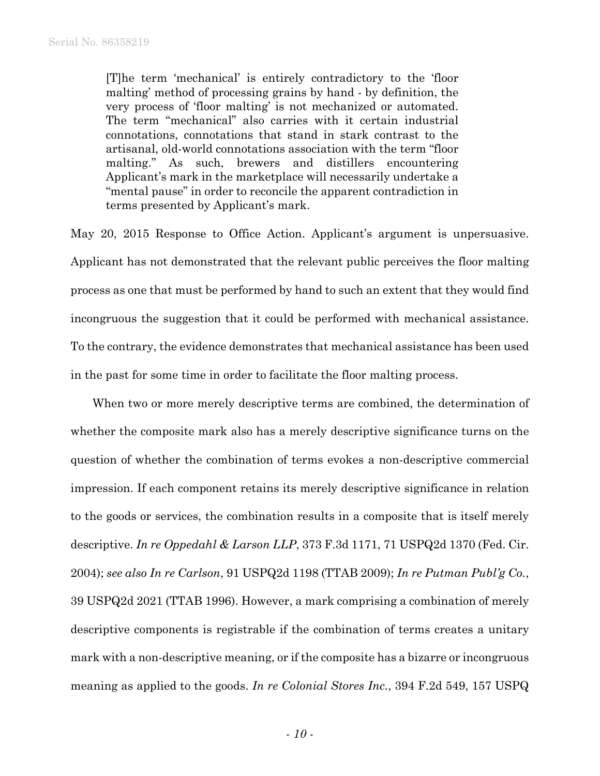[T]he term 'mechanical' is entirely contradictory to the 'floor malting' method of processing grains by hand - by definition, the very process of 'floor malting' is not mechanized or automated. The term "mechanical" also carries with it certain industrial connotations, connotations that stand in stark contrast to the artisanal, old-world connotations association with the term "floor malting." As such, brewers and distillers encountering Applicant's mark in the marketplace will necessarily undertake a "mental pause" in order to reconcile the apparent contradiction in terms presented by Applicant's mark.

May 20, 2015 Response to Office Action. Applicant's argument is unpersuasive. Applicant has not demonstrated that the relevant public perceives the floor malting process as one that must be performed by hand to such an extent that they would find incongruous the suggestion that it could be performed with mechanical assistance. To the contrary, the evidence demonstrates that mechanical assistance has been used in the past for some time in order to facilitate the floor malting process.

When two or more merely descriptive terms are combined, the determination of whether the composite mark also has a merely descriptive significance turns on the question of whether the combination of terms evokes a non-descriptive commercial impression. If each component retains its merely descriptive significance in relation to the goods or services, the combination results in a composite that is itself merely descriptive. *In re Oppedahl & Larson LLP*, 373 F.3d 1171, 71 USPQ2d 1370 (Fed. Cir. 2004); *see also In re Carlson*, 91 USPQ2d 1198 (TTAB 2009); *In re Putman Publ'g Co.*, 39 USPQ2d 2021 (TTAB 1996). However, a mark comprising a combination of merely descriptive components is registrable if the combination of terms creates a unitary mark with a non-descriptive meaning, or if the composite has a bizarre or incongruous meaning as applied to the goods. *In re Colonial Stores Inc.*, 394 F.2d 549, 157 USPQ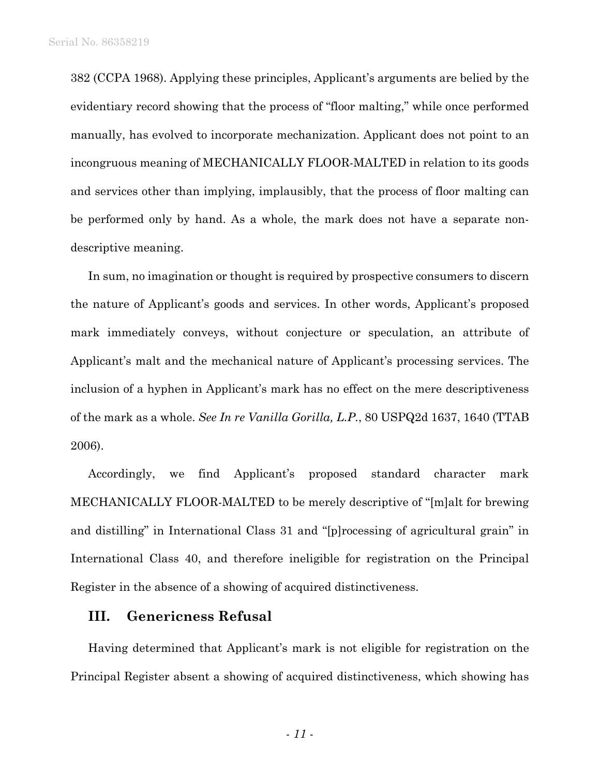382 (CCPA 1968). Applying these principles, Applicant's arguments are belied by the evidentiary record showing that the process of "floor malting," while once performed manually, has evolved to incorporate mechanization. Applicant does not point to an incongruous meaning of MECHANICALLY FLOOR-MALTED in relation to its goods and services other than implying, implausibly, that the process of floor malting can be performed only by hand. As a whole, the mark does not have a separate nondescriptive meaning.

In sum, no imagination or thought is required by prospective consumers to discern the nature of Applicant's goods and services. In other words, Applicant's proposed mark immediately conveys, without conjecture or speculation, an attribute of Applicant's malt and the mechanical nature of Applicant's processing services. The inclusion of a hyphen in Applicant's mark has no effect on the mere descriptiveness of the mark as a whole. *See In re Vanilla Gorilla, L.P.*, 80 USPQ2d 1637, 1640 (TTAB 2006).

Accordingly, we find Applicant's proposed standard character mark MECHANICALLY FLOOR-MALTED to be merely descriptive of "[m]alt for brewing and distilling" in International Class 31 and "[p]rocessing of agricultural grain" in International Class 40, and therefore ineligible for registration on the Principal Register in the absence of a showing of acquired distinctiveness.

### **III. Genericness Refusal**

Having determined that Applicant's mark is not eligible for registration on the Principal Register absent a showing of acquired distinctiveness, which showing has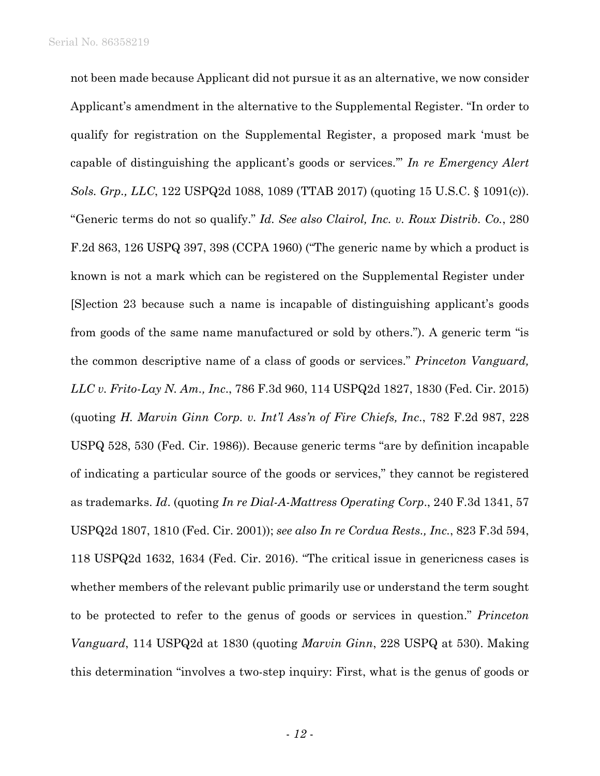Serial No. 86358219

not been made because Applicant did not pursue it as an alternative, we now consider Applicant's amendment in the alternative to the Supplemental Register. "In order to qualify for registration on the Supplemental Register, a proposed mark 'must be capable of distinguishing the applicant's goods or services.'" *In re Emergency Alert Sols. Grp., LLC*, 122 USPQ2d 1088, 1089 (TTAB 2017) (quoting 15 U.S.C. § 1091(c)). "Generic terms do not so qualify." *Id. See also Clairol, Inc. v. Roux Distrib. Co.*, 280 F.2d 863, 126 USPQ 397, 398 (CCPA 1960) ("The generic name by which a product is known is not a mark which can be registered on the Supplemental Register under [S]ection 23 because such a name is incapable of distinguishing applicant's goods from goods of the same name manufactured or sold by others."). A generic term "is the common descriptive name of a class of goods or services." *Princeton Vanguard, LLC v. Frito-Lay N. Am., Inc*., 786 F.3d 960, 114 USPQ2d 1827, 1830 (Fed. Cir. 2015) (quoting *H. Marvin Ginn Corp. v. Int'l Ass'n of Fire Chiefs, Inc*., 782 F.2d 987, 228 USPQ 528, 530 (Fed. Cir. 1986)). Because generic terms "are by definition incapable of indicating a particular source of the goods or services," they cannot be registered as trademarks. *Id*. (quoting *In re Dial-A-Mattress Operating Corp*., 240 F.3d 1341, 57 USPQ2d 1807, 1810 (Fed. Cir. 2001)); *see also In re Cordua Rests., Inc.*, 823 F.3d 594, 118 USPQ2d 1632, 1634 (Fed. Cir. 2016). "The critical issue in genericness cases is whether members of the relevant public primarily use or understand the term sought to be protected to refer to the genus of goods or services in question." *Princeton Vanguard*, 114 USPQ2d at 1830 (quoting *Marvin Ginn*, 228 USPQ at 530). Making this determination "involves a two-step inquiry: First, what is the genus of goods or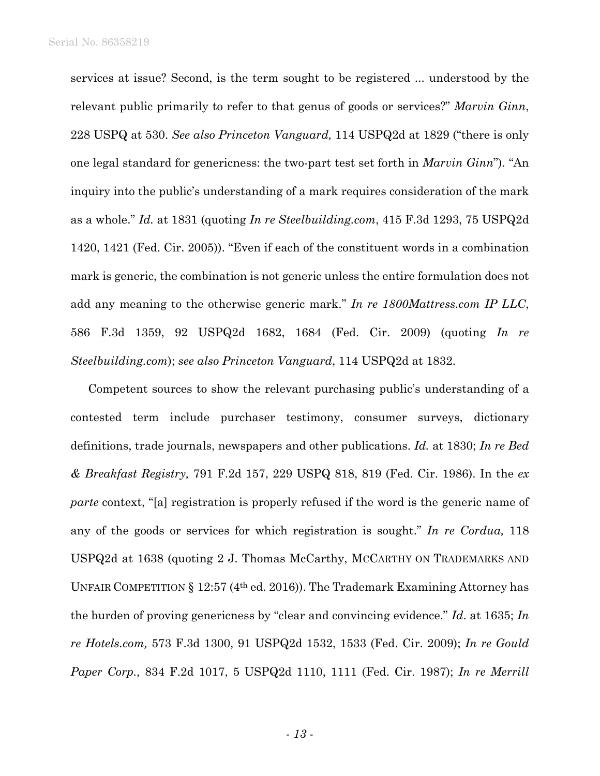services at issue? Second, is the term sought to be registered ... understood by the relevant public primarily to refer to that genus of goods or services?" *Marvin Ginn*, 228 USPQ at 530. *See also Princeton Vanguard,* 114 USPQ2d at 1829 ("there is only one legal standard for genericness: the two-part test set forth in *Marvin Ginn*"). "An inquiry into the public's understanding of a mark requires consideration of the mark as a whole." *Id.* at 1831 (quoting *In re Steelbuilding.com*, 415 F.3d 1293, 75 USPQ2d 1420, 1421 (Fed. Cir. 2005)). "Even if each of the constituent words in a combination mark is generic, the combination is not generic unless the entire formulation does not add any meaning to the otherwise generic mark." *In re 1800Mattress.com IP LLC*, 586 F.3d 1359, 92 USPQ2d 1682, 1684 (Fed. Cir. 2009) (quoting *In re Steelbuilding.com*); *see also Princeton Vanguard*, 114 USPQ2d at 1832.

Competent sources to show the relevant purchasing public's understanding of a contested term include purchaser testimony, consumer surveys, dictionary definitions, trade journals, newspapers and other publications. *Id.* at 1830; *In re Bed & Breakfast Registry,* 791 F.2d 157, 229 USPQ 818, 819 (Fed. Cir. 1986). In the *ex parte* context, "[a] registration is properly refused if the word is the generic name of any of the goods or services for which registration is sought." *In re Cordua,* 118 USPQ2d at 1638 (quoting 2 J. Thomas McCarthy, MCCARTHY ON TRADEMARKS AND UNFAIR COMPETITION § 12:57 (4th ed. 2016)). The Trademark Examining Attorney has the burden of proving genericness by "clear and convincing evidence." *Id*. at 1635; *In re Hotels.com,* 573 F.3d 1300, 91 USPQ2d 1532, 1533 (Fed. Cir. 2009); *In re Gould Paper Corp.,* 834 F.2d 1017, 5 USPQ2d 1110, 1111 (Fed. Cir. 1987); *In re Merrill*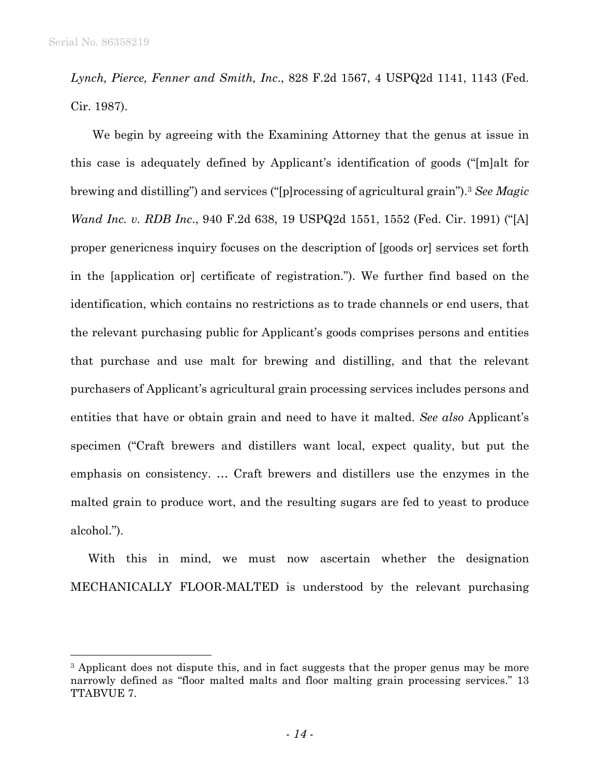l

*Lynch, Pierce, Fenner and Smith, Inc*., 828 F.2d 1567, 4 USPQ2d 1141, 1143 (Fed. Cir. 1987).

We begin by agreeing with the Examining Attorney that the genus at issue in this case is adequately defined by Applicant's identification of goods ("[m]alt for brewing and distilling") and services ("[p]rocessing of agricultural grain").3 *See Magic Wand Inc. v. RDB Inc*., 940 F.2d 638, 19 USPQ2d 1551, 1552 (Fed. Cir. 1991) ("[A] proper genericness inquiry focuses on the description of [goods or] services set forth in the [application or] certificate of registration."). We further find based on the identification, which contains no restrictions as to trade channels or end users, that the relevant purchasing public for Applicant's goods comprises persons and entities that purchase and use malt for brewing and distilling, and that the relevant purchasers of Applicant's agricultural grain processing services includes persons and entities that have or obtain grain and need to have it malted. *See also* Applicant's specimen ("Craft brewers and distillers want local, expect quality, but put the emphasis on consistency. … Craft brewers and distillers use the enzymes in the malted grain to produce wort, and the resulting sugars are fed to yeast to produce alcohol.").

With this in mind, we must now ascertain whether the designation MECHANICALLY FLOOR-MALTED is understood by the relevant purchasing

<sup>&</sup>lt;sup>3</sup> Applicant does not dispute this, and in fact suggests that the proper genus may be more narrowly defined as "floor malted malts and floor malting grain processing services." 13 TTABVUE 7.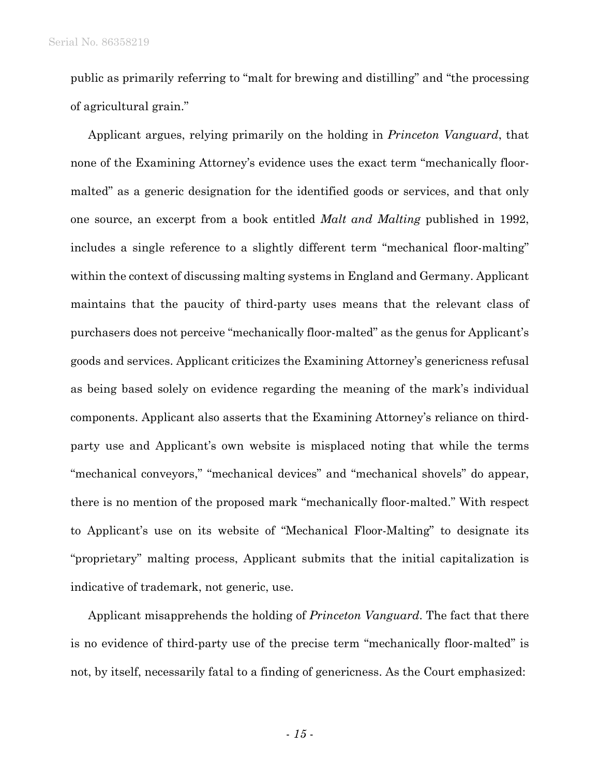Serial No. 86358219

public as primarily referring to "malt for brewing and distilling" and "the processing of agricultural grain."

Applicant argues, relying primarily on the holding in *Princeton Vanguard*, that none of the Examining Attorney's evidence uses the exact term "mechanically floormalted" as a generic designation for the identified goods or services, and that only one source, an excerpt from a book entitled *Malt and Malting* published in 1992, includes a single reference to a slightly different term "mechanical floor-malting" within the context of discussing malting systems in England and Germany. Applicant maintains that the paucity of third-party uses means that the relevant class of purchasers does not perceive "mechanically floor-malted" as the genus for Applicant's goods and services. Applicant criticizes the Examining Attorney's genericness refusal as being based solely on evidence regarding the meaning of the mark's individual components. Applicant also asserts that the Examining Attorney's reliance on thirdparty use and Applicant's own website is misplaced noting that while the terms "mechanical conveyors," "mechanical devices" and "mechanical shovels" do appear, there is no mention of the proposed mark "mechanically floor-malted." With respect to Applicant's use on its website of "Mechanical Floor-Malting" to designate its "proprietary" malting process, Applicant submits that the initial capitalization is indicative of trademark, not generic, use.

Applicant misapprehends the holding of *Princeton Vanguard*. The fact that there is no evidence of third-party use of the precise term "mechanically floor-malted" is not, by itself, necessarily fatal to a finding of genericness. As the Court emphasized:

- *15* -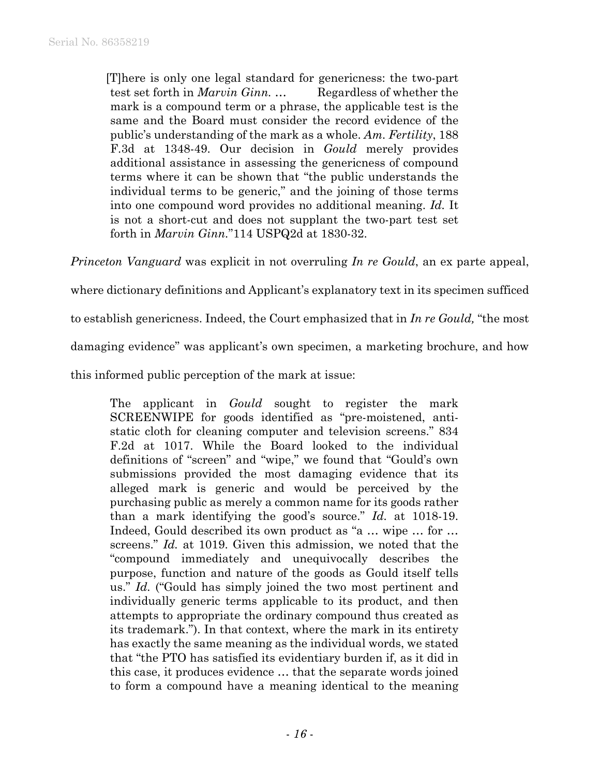[T]here is only one legal standard for genericness: the two-part test set forth in *Marvin Ginn.* ... Regardless of whether the mark is a compound term or a phrase, the applicable test is the same and the Board must consider the record evidence of the public's understanding of the mark as a whole. *Am. Fertility*, 188 F.3d at 1348-49. Our decision in *Gould* merely provides additional assistance in assessing the genericness of compound terms where it can be shown that "the public understands the individual terms to be generic," and the joining of those terms into one compound word provides no additional meaning. *Id.* It is not a short-cut and does not supplant the two-part test set forth in *Marvin Ginn.*"114 USPQ2d at 1830-32.

*Princeton Vanguard* was explicit in not overruling *In re Gould*, an ex parte appeal,

where dictionary definitions and Applicant's explanatory text in its specimen sufficed

to establish genericness. Indeed, the Court emphasized that in *In re Gould,* "the most

damaging evidence" was applicant's own specimen, a marketing brochure, and how

this informed public perception of the mark at issue:

The applicant in *Gould* sought to register the mark SCREENWIPE for goods identified as "pre-moistened, antistatic cloth for cleaning computer and television screens." 834 F.2d at 1017. While the Board looked to the individual definitions of "screen" and "wipe," we found that "Gould's own submissions provided the most damaging evidence that its alleged mark is generic and would be perceived by the purchasing public as merely a common name for its goods rather than a mark identifying the good's source." *Id.* at 1018-19. Indeed, Gould described its own product as "a … wipe … for … screens." *Id.* at 1019. Given this admission, we noted that the "compound immediately and unequivocally describes the purpose, function and nature of the goods as Gould itself tells us." *Id.* ("Gould has simply joined the two most pertinent and individually generic terms applicable to its product, and then attempts to appropriate the ordinary compound thus created as its trademark."). In that context, where the mark in its entirety has exactly the same meaning as the individual words, we stated that "the PTO has satisfied its evidentiary burden if, as it did in this case, it produces evidence … that the separate words joined to form a compound have a meaning identical to the meaning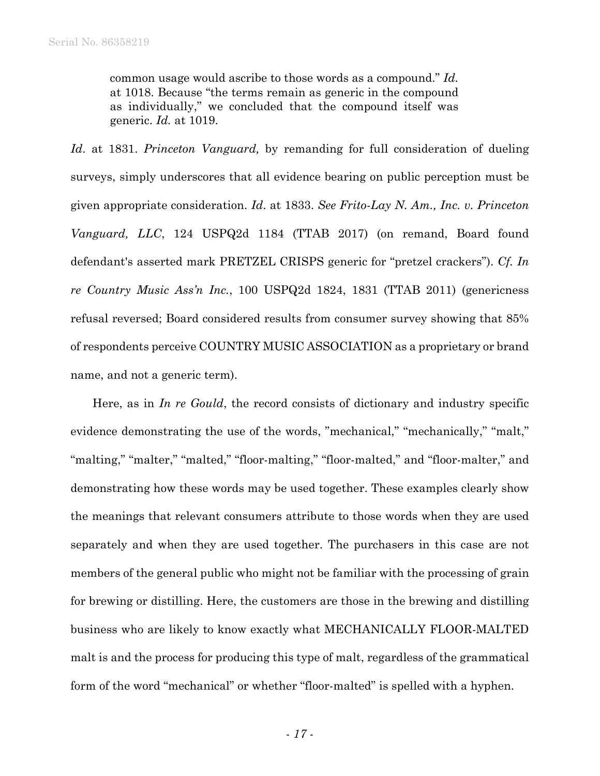common usage would ascribe to those words as a compound." *Id.* at 1018. Because "the terms remain as generic in the compound as individually," we concluded that the compound itself was generic. *Id.* at 1019.

*Id*. at 1831. *Princeton Vanguard,* by remanding for full consideration of dueling surveys, simply underscores that all evidence bearing on public perception must be given appropriate consideration. *Id*. at 1833. *See Frito-Lay N. Am., Inc. v. Princeton Vanguard, LLC*, 124 USPQ2d 1184 (TTAB 2017) (on remand, Board found defendant's asserted mark PRETZEL CRISPS generic for "pretzel crackers"). *Cf. In re Country Music Ass'n Inc.*, 100 USPQ2d 1824, 1831 (TTAB 2011) (genericness refusal reversed; Board considered results from consumer survey showing that 85% of respondents perceive COUNTRY MUSIC ASSOCIATION as a proprietary or brand name, and not a generic term).

Here, as in *In re Gould*, the record consists of dictionary and industry specific evidence demonstrating the use of the words, "mechanical," "mechanically," "malt," "malting," "malter," "malted," "floor-malting," "floor-malted," and "floor-malter," and demonstrating how these words may be used together. These examples clearly show the meanings that relevant consumers attribute to those words when they are used separately and when they are used together. The purchasers in this case are not members of the general public who might not be familiar with the processing of grain for brewing or distilling. Here, the customers are those in the brewing and distilling business who are likely to know exactly what MECHANICALLY FLOOR-MALTED malt is and the process for producing this type of malt, regardless of the grammatical form of the word "mechanical" or whether "floor-malted" is spelled with a hyphen.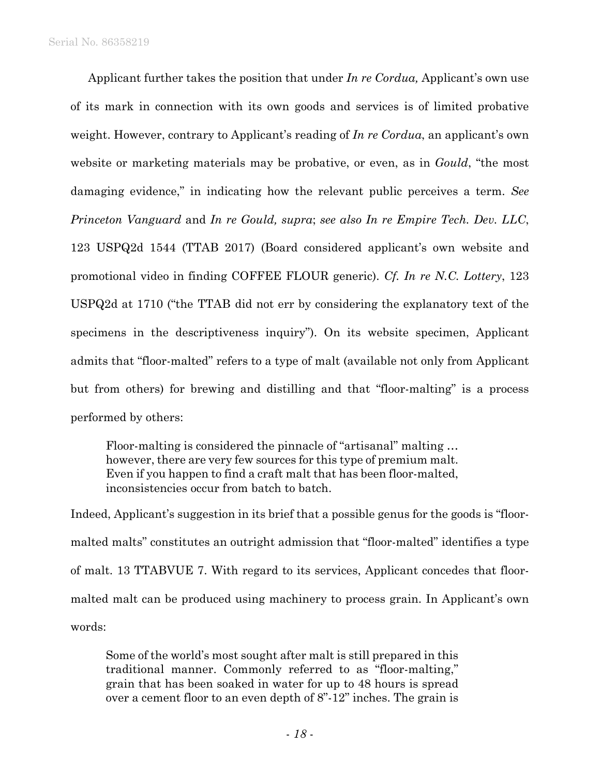Applicant further takes the position that under *In re Cordua,* Applicant's own use of its mark in connection with its own goods and services is of limited probative weight. However, contrary to Applicant's reading of *In re Cordua*, an applicant's own website or marketing materials may be probative, or even, as in *Gould*, "the most damaging evidence," in indicating how the relevant public perceives a term. *See Princeton Vanguard* and *In re Gould, supra*; *see also In re Empire Tech. Dev. LLC*, 123 USPQ2d 1544 (TTAB 2017) (Board considered applicant's own website and promotional video in finding COFFEE FLOUR generic). *Cf. In re N.C. Lottery*, 123 USPQ2d at 1710 ("the TTAB did not err by considering the explanatory text of the specimens in the descriptiveness inquiry"). On its website specimen, Applicant admits that "floor-malted" refers to a type of malt (available not only from Applicant but from others) for brewing and distilling and that "floor-malting" is a process performed by others:

 Floor-malting is considered the pinnacle of "artisanal" malting … however, there are very few sources for this type of premium malt. Even if you happen to find a craft malt that has been floor-malted, inconsistencies occur from batch to batch.

Indeed, Applicant's suggestion in its brief that a possible genus for the goods is "floormalted malts" constitutes an outright admission that "floor-malted" identifies a type of malt. 13 TTABVUE 7. With regard to its services, Applicant concedes that floormalted malt can be produced using machinery to process grain. In Applicant's own words:

Some of the world's most sought after malt is still prepared in this traditional manner. Commonly referred to as "floor-malting," grain that has been soaked in water for up to 48 hours is spread over a cement floor to an even depth of 8"-12" inches. The grain is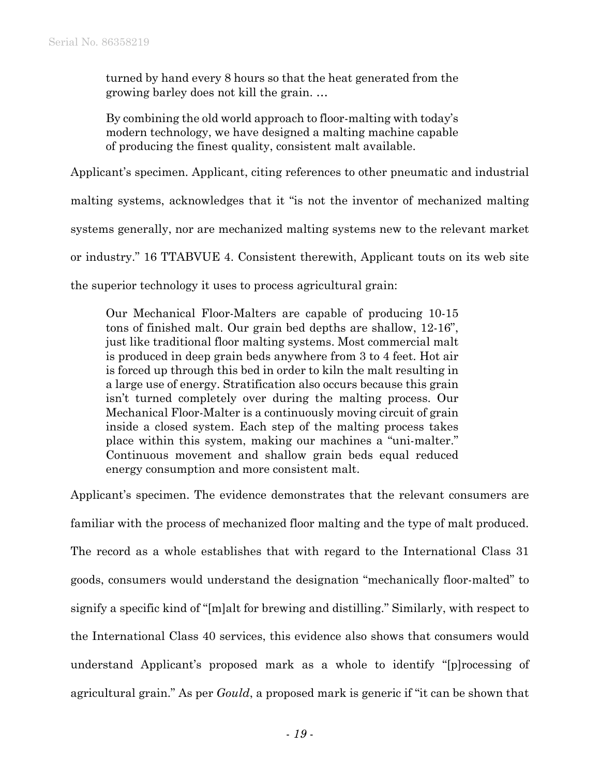turned by hand every 8 hours so that the heat generated from the growing barley does not kill the grain. …

By combining the old world approach to floor-malting with today's modern technology, we have designed a malting machine capable of producing the finest quality, consistent malt available.

Applicant's specimen. Applicant, citing references to other pneumatic and industrial

malting systems, acknowledges that it "is not the inventor of mechanized malting

systems generally, nor are mechanized malting systems new to the relevant market

or industry." 16 TTABVUE 4. Consistent therewith, Applicant touts on its web site

the superior technology it uses to process agricultural grain:

Our Mechanical Floor-Malters are capable of producing 10-15 tons of finished malt. Our grain bed depths are shallow, 12-16", just like traditional floor malting systems. Most commercial malt is produced in deep grain beds anywhere from 3 to 4 feet. Hot air is forced up through this bed in order to kiln the malt resulting in a large use of energy. Stratification also occurs because this grain isn't turned completely over during the malting process. Our Mechanical Floor-Malter is a continuously moving circuit of grain inside a closed system. Each step of the malting process takes place within this system, making our machines a "uni-malter." Continuous movement and shallow grain beds equal reduced energy consumption and more consistent malt.

Applicant's specimen. The evidence demonstrates that the relevant consumers are familiar with the process of mechanized floor malting and the type of malt produced. The record as a whole establishes that with regard to the International Class 31 goods, consumers would understand the designation "mechanically floor-malted" to signify a specific kind of "[m]alt for brewing and distilling." Similarly, with respect to the International Class 40 services, this evidence also shows that consumers would understand Applicant's proposed mark as a whole to identify "[p]rocessing of agricultural grain." As per *Gould*, a proposed mark is generic if "it can be shown that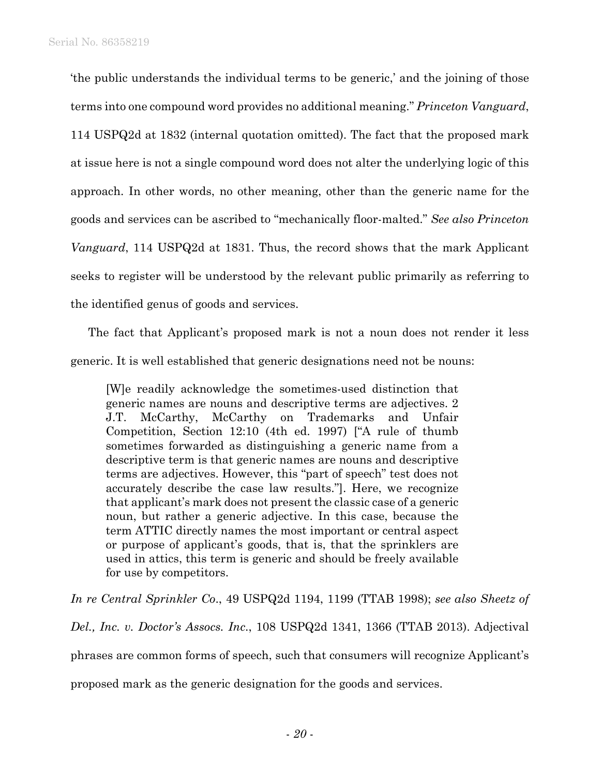'the public understands the individual terms to be generic,' and the joining of those terms into one compound word provides no additional meaning." *Princeton Vanguard*, 114 USPQ2d at 1832 (internal quotation omitted). The fact that the proposed mark at issue here is not a single compound word does not alter the underlying logic of this approach. In other words, no other meaning, other than the generic name for the goods and services can be ascribed to "mechanically floor-malted." *See also Princeton Vanguard*, 114 USPQ2d at 1831. Thus, the record shows that the mark Applicant seeks to register will be understood by the relevant public primarily as referring to the identified genus of goods and services.

The fact that Applicant's proposed mark is not a noun does not render it less generic. It is well established that generic designations need not be nouns:

[W]e readily acknowledge the sometimes-used distinction that generic names are nouns and descriptive terms are adjectives. 2 J.T. McCarthy, McCarthy on Trademarks and Unfair Competition, Section 12:10 (4th ed. 1997) ["A rule of thumb sometimes forwarded as distinguishing a generic name from a descriptive term is that generic names are nouns and descriptive terms are adjectives. However, this "part of speech" test does not accurately describe the case law results."]. Here, we recognize that applicant's mark does not present the classic case of a generic noun, but rather a generic adjective. In this case, because the term ATTIC directly names the most important or central aspect or purpose of applicant's goods, that is, that the sprinklers are used in attics, this term is generic and should be freely available for use by competitors.

*In re Central Sprinkler Co*., 49 USPQ2d 1194, 1199 (TTAB 1998); *see also Sheetz of* 

*Del., Inc. v. Doctor's Assocs. Inc*., 108 USPQ2d 1341, 1366 (TTAB 2013). Adjectival phrases are common forms of speech, such that consumers will recognize Applicant's proposed mark as the generic designation for the goods and services.